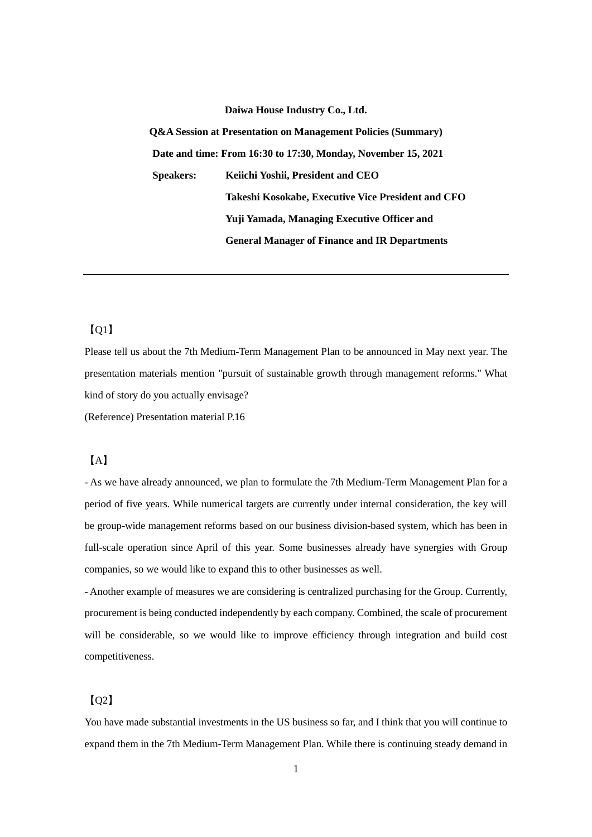#### **Daiwa House Industry Co., Ltd.**

**Q&A Session at Presentation on Management Policies (Summary) Date and time: From 16:30 to 17:30, Monday, November 15, 2021 Speakers: Keiichi Yoshii, President and CEO Takeshi Kosokabe, Executive Vice President and CFO Yuji Yamada, Managing Executive Officer and General Manager of Finance and IR Departments** 

## 【Q1】

Please tell us about the 7th Medium-Term Management Plan to be announced in May next year. The presentation materials mention "pursuit of sustainable growth through management reforms." What kind of story do you actually envisage?

(Reference) Presentation material P.16

## 【A】

- As we have already announced, we plan to formulate the 7th Medium-Term Management Plan for a period of five years. While numerical targets are currently under internal consideration, the key will be group-wide management reforms based on our business division-based system, which has been in full-scale operation since April of this year. Some businesses already have synergies with Group companies, so we would like to expand this to other businesses as well.

- Another example of measures we are considering is centralized purchasing for the Group. Currently, procurement is being conducted independently by each company. Combined, the scale of procurement will be considerable, so we would like to improve efficiency through integration and build cost competitiveness.

## $[02]$

You have made substantial investments in the US business so far, and I think that you will continue to expand them in the 7th Medium-Term Management Plan. While there is continuing steady demand in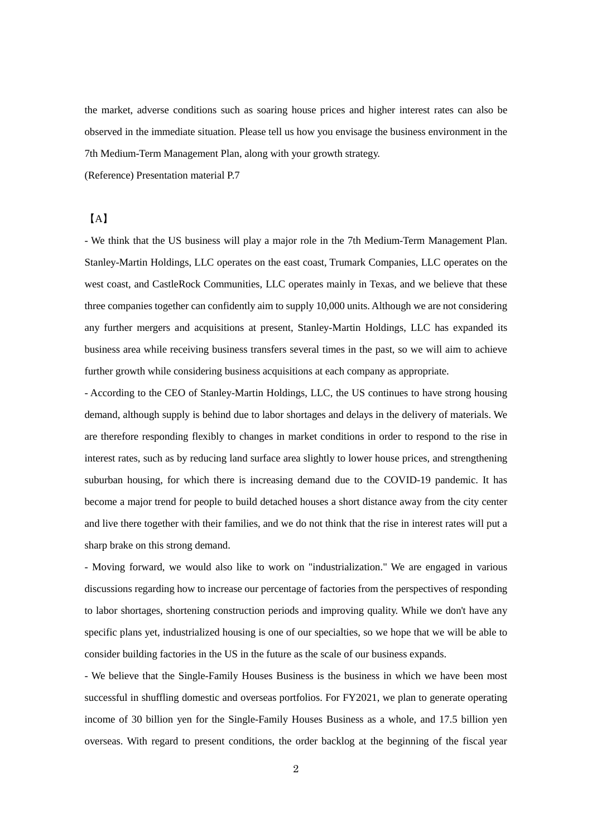the market, adverse conditions such as soaring house prices and higher interest rates can also be observed in the immediate situation. Please tell us how you envisage the business environment in the 7th Medium-Term Management Plan, along with your growth strategy.

(Reference) Presentation material P.7

#### 【A】

- We think that the US business will play a major role in the 7th Medium-Term Management Plan. Stanley-Martin Holdings, LLC operates on the east coast, Trumark Companies, LLC operates on the west coast, and CastleRock Communities, LLC operates mainly in Texas, and we believe that these three companies together can confidently aim to supply 10,000 units. Although we are not considering any further mergers and acquisitions at present, Stanley-Martin Holdings, LLC has expanded its business area while receiving business transfers several times in the past, so we will aim to achieve further growth while considering business acquisitions at each company as appropriate.

- According to the CEO of Stanley-Martin Holdings, LLC, the US continues to have strong housing demand, although supply is behind due to labor shortages and delays in the delivery of materials. We are therefore responding flexibly to changes in market conditions in order to respond to the rise in interest rates, such as by reducing land surface area slightly to lower house prices, and strengthening suburban housing, for which there is increasing demand due to the COVID-19 pandemic. It has become a major trend for people to build detached houses a short distance away from the city center and live there together with their families, and we do not think that the rise in interest rates will put a sharp brake on this strong demand.

- Moving forward, we would also like to work on "industrialization." We are engaged in various discussions regarding how to increase our percentage of factories from the perspectives of responding to labor shortages, shortening construction periods and improving quality. While we don't have any specific plans yet, industrialized housing is one of our specialties, so we hope that we will be able to consider building factories in the US in the future as the scale of our business expands.

- We believe that the Single-Family Houses Business is the business in which we have been most successful in shuffling domestic and overseas portfolios. For FY2021, we plan to generate operating income of 30 billion yen for the Single-Family Houses Business as a whole, and 17.5 billion yen overseas. With regard to present conditions, the order backlog at the beginning of the fiscal year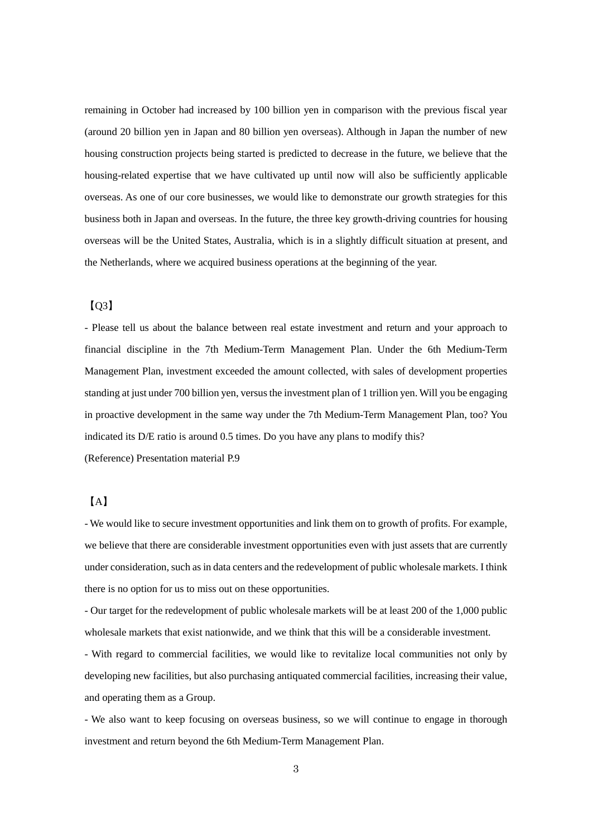remaining in October had increased by 100 billion yen in comparison with the previous fiscal year (around 20 billion yen in Japan and 80 billion yen overseas). Although in Japan the number of new housing construction projects being started is predicted to decrease in the future, we believe that the housing-related expertise that we have cultivated up until now will also be sufficiently applicable overseas. As one of our core businesses, we would like to demonstrate our growth strategies for this business both in Japan and overseas. In the future, the three key growth-driving countries for housing overseas will be the United States, Australia, which is in a slightly difficult situation at present, and the Netherlands, where we acquired business operations at the beginning of the year.

## $[03]$

- Please tell us about the balance between real estate investment and return and your approach to financial discipline in the 7th Medium-Term Management Plan. Under the 6th Medium-Term Management Plan, investment exceeded the amount collected, with sales of development properties standing at just under 700 billion yen, versus the investment plan of 1 trillion yen. Will you be engaging in proactive development in the same way under the 7th Medium-Term Management Plan, too? You indicated its D/E ratio is around 0.5 times. Do you have any plans to modify this? (Reference) Presentation material P.9

# 【A】

- We would like to secure investment opportunities and link them on to growth of profits. For example, we believe that there are considerable investment opportunities even with just assets that are currently under consideration, such as in data centers and the redevelopment of public wholesale markets. I think there is no option for us to miss out on these opportunities.

- Our target for the redevelopment of public wholesale markets will be at least 200 of the 1,000 public wholesale markets that exist nationwide, and we think that this will be a considerable investment.

- With regard to commercial facilities, we would like to revitalize local communities not only by developing new facilities, but also purchasing antiquated commercial facilities, increasing their value, and operating them as a Group.

- We also want to keep focusing on overseas business, so we will continue to engage in thorough investment and return beyond the 6th Medium-Term Management Plan.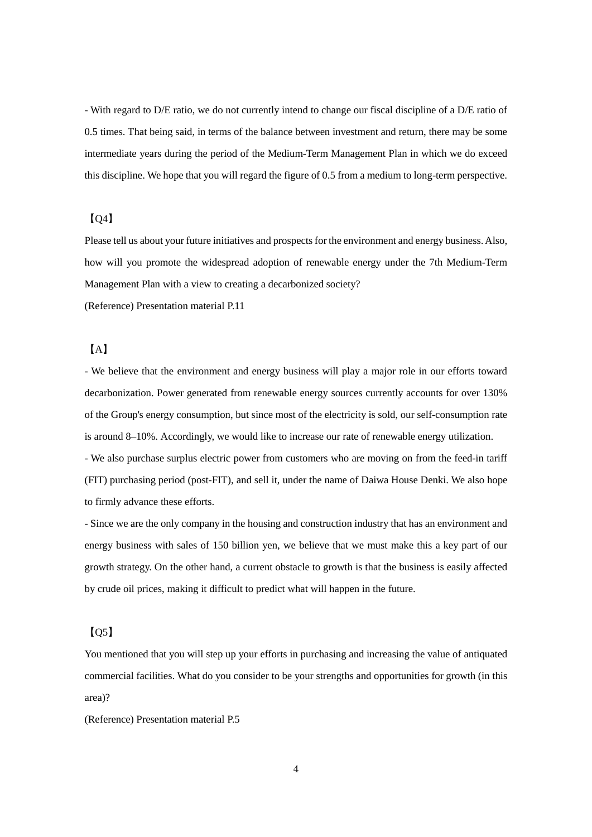- With regard to D/E ratio, we do not currently intend to change our fiscal discipline of a D/E ratio of 0.5 times. That being said, in terms of the balance between investment and return, there may be some intermediate years during the period of the Medium-Term Management Plan in which we do exceed this discipline. We hope that you will regard the figure of 0.5 from a medium to long-term perspective.

#### $[04]$

Please tell us about your future initiatives and prospects for the environment and energy business.Also, how will you promote the widespread adoption of renewable energy under the 7th Medium-Term Management Plan with a view to creating a decarbonized society?

(Reference) Presentation material P.11

## 【A】

- We believe that the environment and energy business will play a major role in our efforts toward decarbonization. Power generated from renewable energy sources currently accounts for over 130% of the Group's energy consumption, but since most of the electricity is sold, our self-consumption rate is around 8–10%. Accordingly, we would like to increase our rate of renewable energy utilization. - We also purchase surplus electric power from customers who are moving on from the feed-in tariff (FIT) purchasing period (post-FIT), and sell it, under the name of Daiwa House Denki. We also hope

to firmly advance these efforts.

- Since we are the only company in the housing and construction industry that has an environment and energy business with sales of 150 billion yen, we believe that we must make this a key part of our growth strategy. On the other hand, a current obstacle to growth is that the business is easily affected by crude oil prices, making it difficult to predict what will happen in the future.

# $[05]$

You mentioned that you will step up your efforts in purchasing and increasing the value of antiquated commercial facilities. What do you consider to be your strengths and opportunities for growth (in this area)?

(Reference) Presentation material P.5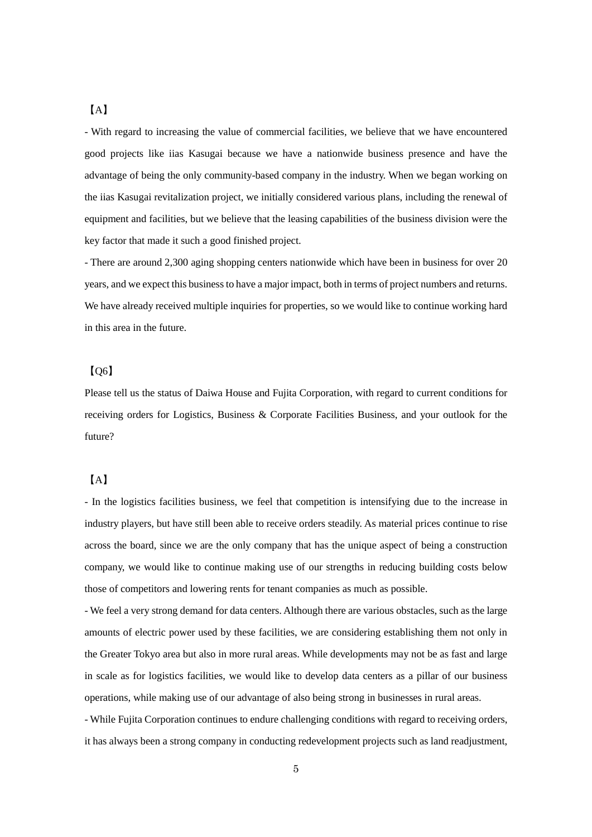#### 【A】

- With regard to increasing the value of commercial facilities, we believe that we have encountered good projects like iias Kasugai because we have a nationwide business presence and have the advantage of being the only community-based company in the industry. When we began working on the iias Kasugai revitalization project, we initially considered various plans, including the renewal of equipment and facilities, but we believe that the leasing capabilities of the business division were the key factor that made it such a good finished project.

- There are around 2,300 aging shopping centers nationwide which have been in business for over 20 years, and we expect this business to have a major impact, both in terms of project numbers and returns. We have already received multiple inquiries for properties, so we would like to continue working hard in this area in the future.

#### 【Q6】

Please tell us the status of Daiwa House and Fujita Corporation, with regard to current conditions for receiving orders for Logistics, Business & Corporate Facilities Business, and your outlook for the future?

## 【A】

- In the logistics facilities business, we feel that competition is intensifying due to the increase in industry players, but have still been able to receive orders steadily. As material prices continue to rise across the board, since we are the only company that has the unique aspect of being a construction company, we would like to continue making use of our strengths in reducing building costs below those of competitors and lowering rents for tenant companies as much as possible.

- We feel a very strong demand for data centers. Although there are various obstacles, such as the large amounts of electric power used by these facilities, we are considering establishing them not only in the Greater Tokyo area but also in more rural areas. While developments may not be as fast and large in scale as for logistics facilities, we would like to develop data centers as a pillar of our business operations, while making use of our advantage of also being strong in businesses in rural areas.

- While Fujita Corporation continues to endure challenging conditions with regard to receiving orders, it has always been a strong company in conducting redevelopment projects such as land readjustment,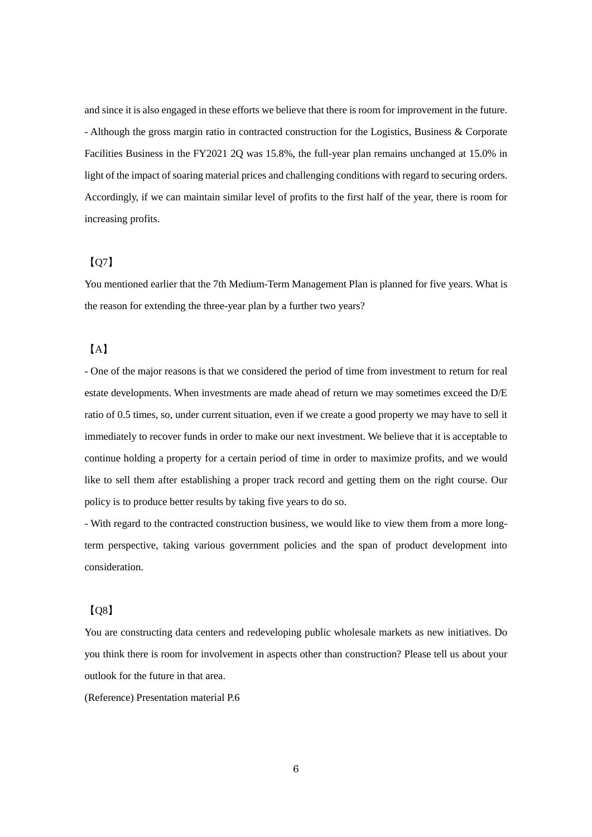and since it is also engaged in these efforts we believe that there is room for improvement in the future. - Although the gross margin ratio in contracted construction for the Logistics, Business & Corporate Facilities Business in the FY2021 2Q was 15.8%, the full-year plan remains unchanged at 15.0% in light of the impact of soaring material prices and challenging conditions with regard to securing orders. Accordingly, if we can maintain similar level of profits to the first half of the year, there is room for increasing profits.

## 【Q7】

You mentioned earlier that the 7th Medium-Term Management Plan is planned for five years. What is the reason for extending the three-year plan by a further two years?

### 【A】

- One of the major reasons is that we considered the period of time from investment to return for real estate developments. When investments are made ahead of return we may sometimes exceed the D/E ratio of 0.5 times, so, under current situation, even if we create a good property we may have to sell it immediately to recover funds in order to make our next investment. We believe that it is acceptable to continue holding a property for a certain period of time in order to maximize profits, and we would like to sell them after establishing a proper track record and getting them on the right course. Our policy is to produce better results by taking five years to do so.

- With regard to the contracted construction business, we would like to view them from a more longterm perspective, taking various government policies and the span of product development into consideration.

# 【Q8】

You are constructing data centers and redeveloping public wholesale markets as new initiatives. Do you think there is room for involvement in aspects other than construction? Please tell us about your outlook for the future in that area.

(Reference) Presentation material P.6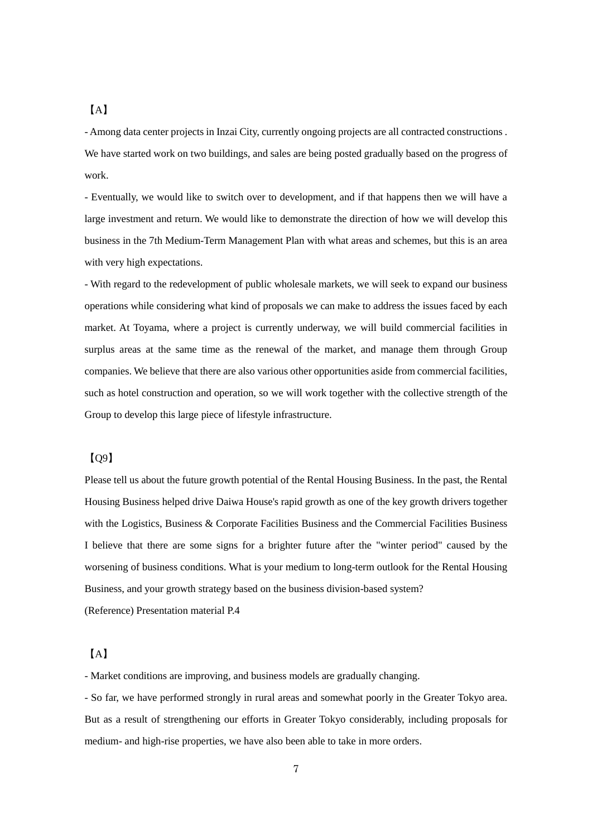#### 【A】

- Among data center projects in Inzai City, currently ongoing projects are all contracted constructions . We have started work on two buildings, and sales are being posted gradually based on the progress of work.

- Eventually, we would like to switch over to development, and if that happens then we will have a large investment and return. We would like to demonstrate the direction of how we will develop this business in the 7th Medium-Term Management Plan with what areas and schemes, but this is an area with very high expectations.

- With regard to the redevelopment of public wholesale markets, we will seek to expand our business operations while considering what kind of proposals we can make to address the issues faced by each market. At Toyama, where a project is currently underway, we will build commercial facilities in surplus areas at the same time as the renewal of the market, and manage them through Group companies. We believe that there are also various other opportunities aside from commercial facilities, such as hotel construction and operation, so we will work together with the collective strength of the Group to develop this large piece of lifestyle infrastructure.

#### 【Q9】

Please tell us about the future growth potential of the Rental Housing Business. In the past, the Rental Housing Business helped drive Daiwa House's rapid growth as one of the key growth drivers together with the Logistics, Business & Corporate Facilities Business and the Commercial Facilities Business I believe that there are some signs for a brighter future after the "winter period" caused by the worsening of business conditions. What is your medium to long-term outlook for the Rental Housing Business, and your growth strategy based on the business division-based system? (Reference) Presentation material P.4

## 【A】

- Market conditions are improving, and business models are gradually changing.

- So far, we have performed strongly in rural areas and somewhat poorly in the Greater Tokyo area. But as a result of strengthening our efforts in Greater Tokyo considerably, including proposals for medium- and high-rise properties, we have also been able to take in more orders.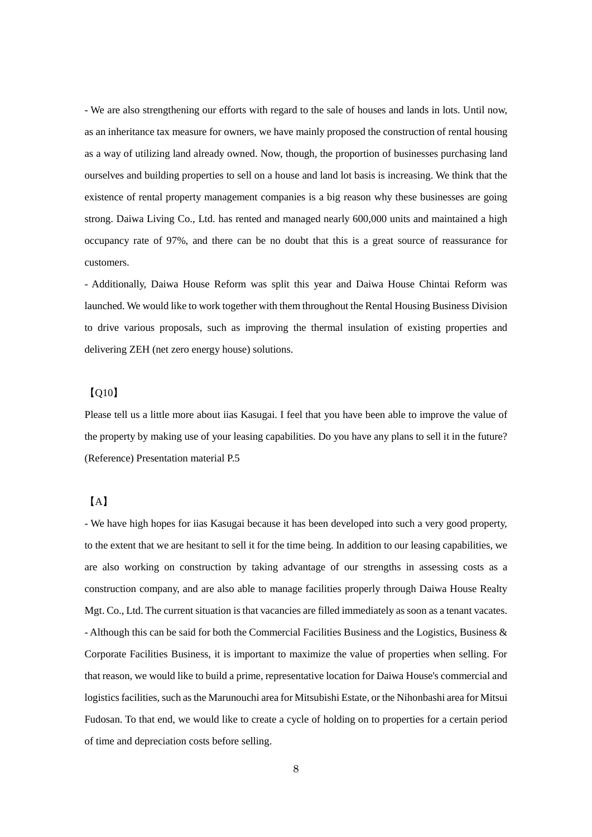- We are also strengthening our efforts with regard to the sale of houses and lands in lots. Until now, as an inheritance tax measure for owners, we have mainly proposed the construction of rental housing as a way of utilizing land already owned. Now, though, the proportion of businesses purchasing land ourselves and building properties to sell on a house and land lot basis is increasing. We think that the existence of rental property management companies is a big reason why these businesses are going strong. Daiwa Living Co., Ltd. has rented and managed nearly 600,000 units and maintained a high occupancy rate of 97%, and there can be no doubt that this is a great source of reassurance for customers.

- Additionally, Daiwa House Reform was split this year and Daiwa House Chintai Reform was launched. We would like to work together with them throughout the Rental Housing Business Division to drive various proposals, such as improving the thermal insulation of existing properties and delivering ZEH (net zero energy house) solutions.

## 【Q10】

Please tell us a little more about iias Kasugai. I feel that you have been able to improve the value of the property by making use of your leasing capabilities. Do you have any plans to sell it in the future? (Reference) Presentation material P.5

# 【A】

- We have high hopes for iias Kasugai because it has been developed into such a very good property, to the extent that we are hesitant to sell it for the time being. In addition to our leasing capabilities, we are also working on construction by taking advantage of our strengths in assessing costs as a construction company, and are also able to manage facilities properly through Daiwa House Realty Mgt. Co., Ltd. The current situation is that vacancies are filled immediately as soon as a tenant vacates. - Although this can be said for both the Commercial Facilities Business and the Logistics, Business & Corporate Facilities Business, it is important to maximize the value of properties when selling. For that reason, we would like to build a prime, representative location for Daiwa House's commercial and logistics facilities, such as the Marunouchi area for Mitsubishi Estate, or the Nihonbashi area for Mitsui Fudosan. To that end, we would like to create a cycle of holding on to properties for a certain period of time and depreciation costs before selling.